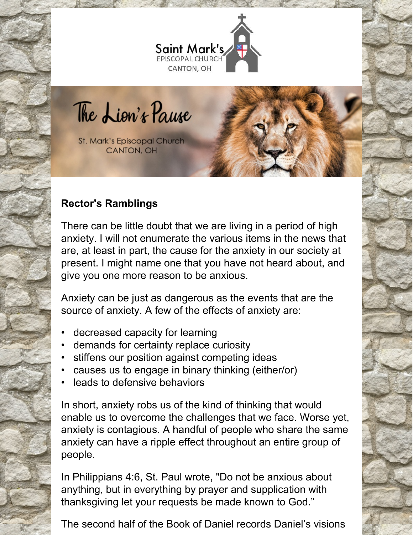

The Lion's Pause

St. Mark's Episcopal Church **CANTON, OH** 

# **Rector's Ramblings**

There can be little doubt that we are living in a period of high anxiety. I will not enumerate the various items in the news that are, at least in part, the cause for the anxiety in our society at present. I might name one that you have not heard about, and give you one more reason to be anxious.

Anxiety can be just as dangerous as the events that are the source of anxiety. A few of the effects of anxiety are:

- decreased capacity for learning
- demands for certainty replace curiosity
- stiffens our position against competing ideas
- causes us to engage in binary thinking (either/or)
- leads to defensive behaviors

In short, anxiety robs us of the kind of thinking that would enable us to overcome the challenges that we face. Worse yet, anxiety is contagious. A handful of people who share the same anxiety can have a ripple effect throughout an entire group of people.

In Philippians 4:6, St. Paul wrote, "Do not be anxious about anything, but in everything by prayer and supplication with thanksgiving let your requests be made known to God."

The second half of the Book of Daniel records Daniel's visions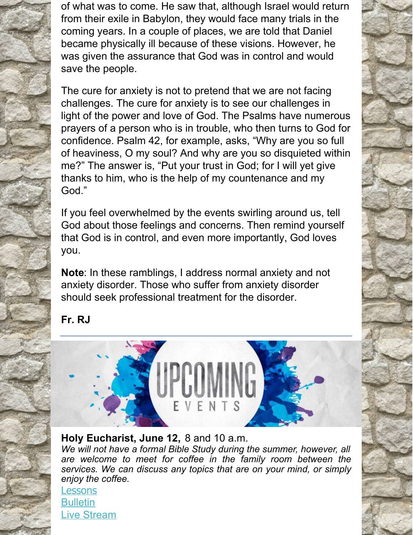of what was to come. He saw that, although Israel would return from their exile in Babylon, they would face many trials in the coming years. In a couple of places, we are told that Daniel became physically ill because of these visions. However, he was given the assurance that God was in control and would save the people.

The cure for anxiety is not to pretend that we are not facing challenges. The cure for anxiety is to see our challenges in light of the power and love of God. The Psalms have numerous prayers of a person who is in trouble, who then turns to God for confidence. Psalm 42, for example, asks, "Why are you so full of heaviness, O my soul? And why are you so disquieted within me?" The answer is, "Put your trust in God; for I will yet give thanks to him, who is the help of my countenance and my God."

If you feel overwhelmed by the events swirling around us, tell God about those feelings and concerns. Then remind yourself that God is in control, and even more importantly, God loves you.

**Note**: In these ramblings, I address normal anxiety and not anxiety disorder. Those who suffer from anxiety disorder should seek professional treatment for the disorder.

# **Fr. RJ**



### **Holy Eucharist, June 12,** 8 and 10 a.m.

*We will not have a formal Bible Study during the summer, however, all are welcome to meet for coffee in the family room between the services. We can discuss any topics that are on your mind, or simply enjoy the coffee.*

**[Lessons](http://lectionarypage.net/YearC_RCL/Pentecost/CTrinity_RCL.html#ot1) [Bulletin](https://files.constantcontact.com/32ed7374201/f62459c2-e364-4cec-99e6-d4c52a553d2c.pdf)** Live [Stream](https://www.facebook.com/stmarks.canton)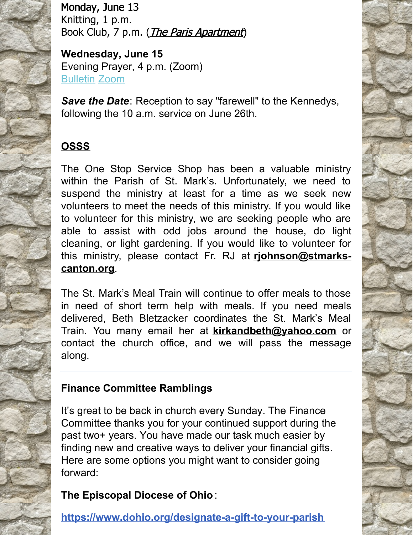Monday, June 13 Knitting, 1 p.m. Book Club, 7 p.m. (*The Paris [Apartment](https://www.goodreads.com/book/show/58468990-the-paris-apartment)*)

**Wednesday, June 15** Evening Prayer, 4 p.m. (Zoom) [Bulletin](https://files.constantcontact.com/32ed7374201/7c4a1f04-09d2-48ff-bd02-4c1841dbe0d0.pdf) [Zoom](https://us06web.zoom.us/j/89088393531?pwd=T1NDTzN2MVlrVm8rbUVoc1d5ODFUQT09)

*Save the Date*: Reception to say "farewell" to the Kennedys, following the 10 a.m. service on June 26th.

# **OSSS**

The One Stop Service Shop has been a valuable ministry within the Parish of St. Mark's. Unfortunately, we need to suspend the ministry at least for a time as we seek new volunteers to meet the needs of this ministry. If you would like to volunteer for this ministry, we are seeking people who are able to assist with odd jobs around the house, do light cleaning, or light gardening. If you would like to volunteer for this ministry, please contact Fr. RJ at **[rjohnson@stmarks](mailto:rjohnson@stmarks-canton.org)canton.org**.

The St. Mark's Meal Train will continue to offer meals to those in need of short term help with meals. If you need meals delivered, Beth Bletzacker coordinates the St. Mark's Meal Train. You many email her at **[kirkandbeth@yahoo.com](mailto:kirkandbeth@yahoo.com)** or contact the church office, and we will pass the message along.

# **Finance Committee Ramblings**

It's great to be back in church every Sunday. The Finance Committee thanks you for your continued support during the past two+ years. You have made our task much easier by finding new and creative ways to deliver your financial gifts. Here are some options you might want to consider going forward:

# **The Episcopal Diocese of Ohio** :

**<https://www.dohio.org/designate-a-gift-to-your-parish>**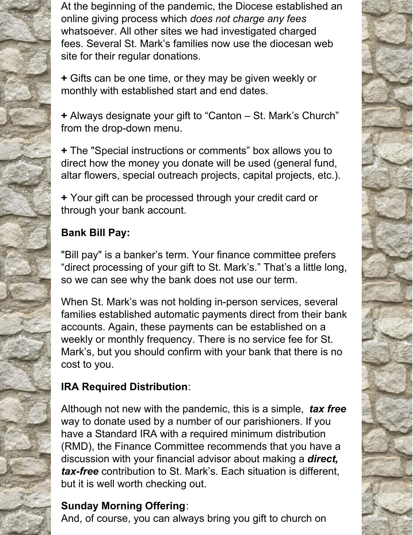At the beginning of the pandemic, the Diocese established an online giving process which *does not charge any fees* whatsoever. All other sites we had investigated charged fees. Several St. Mark's families now use the diocesan web site for their regular donations.

**+** Gifts can be one time, or they may be given weekly or monthly with established start and end dates.

**+** Always designate your gift to "Canton – St. Mark's Church" from the drop-down menu.

**+** The "Special instructions or comments" box allows you to direct how the money you donate will be used (general fund, altar flowers, special outreach projects, capital projects, etc.).

**+** Your gift can be processed through your credit card or through your bank account.

## **Bank Bill Pay:**

"Bill pay" is a banker's term. Your finance committee prefers "direct processing of your gift to St. Mark's." That's a little long, so we can see why the bank does not use our term.

When St. Mark's was not holding in-person services, several families established automatic payments direct from their bank accounts. Again, these payments can be established on a weekly or monthly frequency. There is no service fee for St. Mark's, but you should confirm with your bank that there is no cost to you.

# **IRA Required Distribution**:

Although not new with the pandemic, this is a simple, *tax free* way to donate used by a number of our parishioners. If you have a Standard IRA with a required minimum distribution (RMD), the Finance Committee recommends that you have a discussion with your financial advisor about making a *direct, tax-free* contribution to St. Mark's. Each situation is different, but it is well worth checking out.

# **Sunday Morning Offering**:

And, of course, you can always bring you gift to church on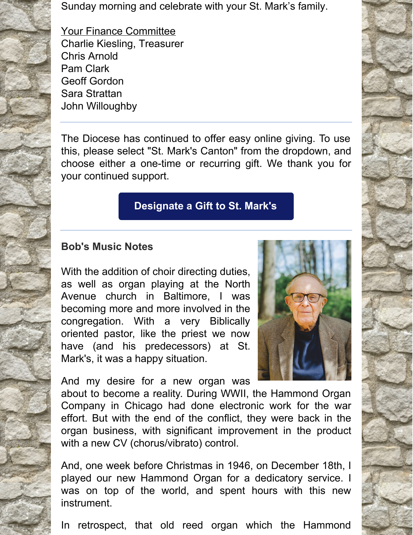Sunday morning and celebrate with your St. Mark's family.

Your Finance Committee Charlie Kiesling, Treasurer Chris Arnold Pam Clark Geoff Gordon Sara Strattan John Willoughby

The Diocese has continued to offer easy online giving. To use this, please select "St. Mark's Canton" from the dropdown, and choose either a one-time or recurring gift. We thank you for your continued support.

## **[Designate](https://dohio.org/designate-a-gift-to-your-parish) a Gift to St. Mark's**

#### **Bob's Music Notes**

With the addition of choir directing duties, as well as organ playing at the North Avenue church in Baltimore, I was becoming more and more involved in the congregation. With a very Biblically oriented pastor, like the priest we now have (and his predecessors) at St. Mark's, it was a happy situation.

And my desire for a new organ was

about to become a reality. During WWII, the Hammond Organ Company in Chicago had done electronic work for the war effort. But with the end of the conflict, they were back in the organ business, with significant improvement in the product with a new CV (chorus/vibrato) control.

And, one week before Christmas in 1946, on December 18th, I played our new Hammond Organ for a dedicatory service. I was on top of the world, and spent hours with this new instrument.

In retrospect, that old reed organ which the Hammond



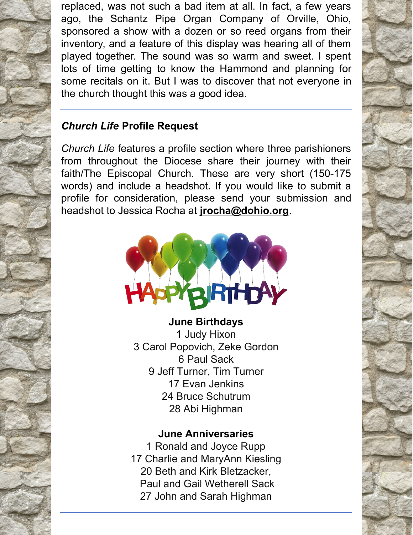replaced, was not such a bad item at all. In fact, a few years ago, the Schantz Pipe Organ Company of Orville, Ohio, sponsored a show with a dozen or so reed organs from their inventory, and a feature of this display was hearing all of them played together. The sound was so warm and sweet. I spent lots of time getting to know the Hammond and planning for some recitals on it. But I was to discover that not everyone in the church thought this was a good idea.

# *Church Life* **Profile Request**

*Church Life* features a profile section where three parishioners from throughout the Diocese share their journey with their faith/The Episcopal Church. These are very short (150-175 words) and include a headshot. If you would like to submit a profile for consideration, please send your submission and headshot to Jessica Rocha at **[jrocha@dohio.org](mailto:jrocha@dohio.org)**.



 Judy Hixon Carol Popovich, Zeke Gordon Paul Sack Jeff Turner, Tim Turner Evan Jenkins Bruce Schutrum Abi Highman

### **June Anniversaries**

 Ronald and Joyce Rupp Charlie and MaryAnn Kiesling Beth and Kirk Bletzacker, Paul and Gail Wetherell Sack John and Sarah Highman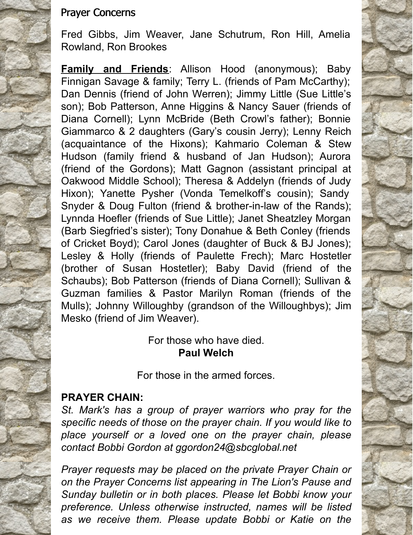#### Prayer Concerns

Fred Gibbs, Jim Weaver, Jane Schutrum, Ron Hill, Amelia Rowland, Ron Brookes

**Family and Friends**: Allison Hood (anonymous); Baby Finnigan Savage & family; Terry L. (friends of Pam McCarthy); Dan Dennis (friend of John Werren); Jimmy Little (Sue Little's son); Bob Patterson, Anne Higgins & Nancy Sauer (friends of Diana Cornell); Lynn McBride (Beth Crowl's father); Bonnie Giammarco & 2 daughters (Gary's cousin Jerry); Lenny Reich (acquaintance of the Hixons); Kahmario Coleman & Stew Hudson (family friend & husband of Jan Hudson); Aurora (friend of the Gordons); Matt Gagnon (assistant principal at Oakwood Middle School); Theresa & Addelyn (friends of Judy Hixon); Yanette Pysher (Vonda Temelkoff's cousin); Sandy Snyder & Doug Fulton (friend & brother-in-law of the Rands); Lynnda Hoefler (friends of Sue Little); Janet Sheatzley Morgan (Barb Siegfried's sister); Tony Donahue & Beth Conley (friends of Cricket Boyd); Carol Jones (daughter of Buck & BJ Jones); Lesley & Holly (friends of Paulette Frech); Marc Hostetler (brother of Susan Hostetler); Baby David (friend of the Schaubs); Bob Patterson (friends of Diana Cornell); Sullivan & Guzman families & Pastor Marilyn Roman (friends of the Mulls); Johnny Willoughby (grandson of the Willoughbys); Jim Mesko (friend of Jim Weaver).

> For those who have died. **Paul Welch**

For those in the armed forces.

#### **PRAYER CHAIN:**

*St. Mark's has a group of prayer warriors who pray for the specific needs of those on the prayer chain. If you would like to place yourself or a loved one on the prayer chain, please contact Bobbi Gordon at ggordon24@sbcglobal.net*

*Prayer requests may be placed on the private Prayer Chain or on the Prayer Concerns list appearing in The Lion's Pause and Sunday bulletin or in both places. Please let Bobbi know your preference. Unless otherwise instructed, names will be listed as we receive them. Please update Bobbi or Katie on the*